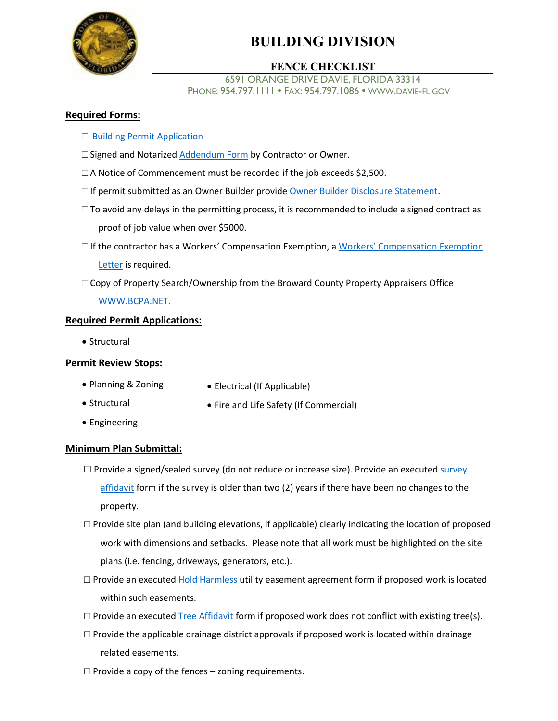

# **BUILDING DIVISION**

## **FENCE CHECKLIST**

6591 ORANGE DRIVE DAVIE, FLORIDA 33314 PHONE: 954.797.1111 · FAX: 954.797.1086 · WWW.DAVIE-FL.GOV

### **Required Forms:**

- □ [Building Permit Application](https://www.davie-fl.gov/DocumentCenter/View/1836/Building-Permit-Application-)
- □ Signed and Notarized [Addendum Form](https://www.davie-fl.gov/DocumentCenter/View/7646/PERMIT-APP-ADDENDUM) by Contractor or Owner.
- $\Box$  A Notice of Commencement must be recorded if the job exceeds \$2,500.
- $\square$  If permit submitted as an Owner Builder provide [Owner Builder Disclosure Statement.](https://www.davie-fl.gov/DocumentCenter/View/381/Owner-Builder-Disclosure-Statement-PDF)
- $\square$  To avoid any delays in the permitting process, it is recommended to include a signed contract as proof of job value when over \$5000.
- $\square$  If the contractor has [a Workers' Compensation Exemption](https://www.davie-fl.gov/DocumentCenter/View/5035/Workers-Compensation-Exempt-Letter), a Workers' Compensation Exemption [Letter](https://www.davie-fl.gov/DocumentCenter/View/5035/Workers-Compensation-Exempt-Letter) is required.

□ Copy of Property Search/Ownership from the Broward County Property Appraisers Office

#### [WWW.BCPA.NET.](http://www.bcpa.net/RecMenu.asp)

#### **Required Permit Applications:**

• Structural

#### **Permit Review Stops:**

- Planning & Zoning
- Electrical (If Applicable)
- Structural
- Fire and Life Safety (If Commercial)
- Engineering

#### **Minimum Plan Submittal:**

- $\square$  Provide a signed/sealed [survey](https://www.davie-fl.gov/DocumentCenter/View/425/Survey-Affidavit-PDF) (do not reduce or increase size). Provide an executed survey [affidavit](https://www.davie-fl.gov/DocumentCenter/View/425/Survey-Affidavit-PDF) form if the survey is older than two (2) years if there have been no changes to the property.
- $\Box$  Provide site plan (and building elevations, if applicable) clearly indicating the location of proposed work with dimensions and setbacks. Please note that all work must be highlighted on the site plans (i.e. fencing, driveways, generators, etc.).
- $\square$  Provide an executed [Hold Harmless](https://www.davie-fl.gov/DocumentCenter/View/389/Hold-Harmless-?bidId=) utility easement agreement form if proposed work is located within such easements.
- $\square$  Provide an executed [Tree Affidavit](https://www.davie-fl.gov/DocumentCenter/View/1454/Tree-Affidavit-PDF) form if proposed work does not conflict with existing tree(s).
- $\square$  Provide the applicable drainage district approvals if proposed work is located within drainage related easements.
- $\Box$  Provide a copy of the fences zoning requirements.